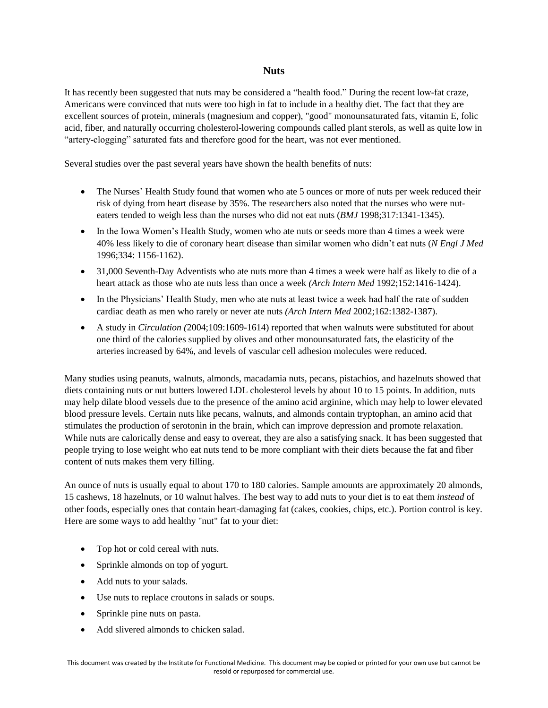## **Nuts**

It has recently been suggested that nuts may be considered a "health food." During the recent low-fat craze, Americans were convinced that nuts were too high in fat to include in a healthy diet. The fact that they are excellent sources of protein, minerals (magnesium and copper), "good" monounsaturated fats, vitamin E, folic acid, fiber, and naturally occurring cholesterol-lowering compounds called plant sterols, as well as quite low in "artery-clogging" saturated fats and therefore good for the heart, was not ever mentioned.

Several studies over the past several years have shown the health benefits of nuts:

- The Nurses' Health Study found that women who ate 5 ounces or more of nuts per week reduced their risk of dying from heart disease by 35%. The researchers also noted that the nurses who were nuteaters tended to weigh less than the nurses who did not eat nuts (*BMJ* 1998;317:1341-1345).
- In the Iowa Women's Health Study, women who ate nuts or seeds more than 4 times a week were 40% less likely to die of coronary heart disease than similar women who didn't eat nuts (*N Engl J Med* 1996;334: 1156-1162).
- 31,000 Seventh-Day Adventists who ate nuts more than 4 times a week were half as likely to die of a heart attack as those who ate nuts less than once a week *(Arch Intern Med* 1992;152:1416-1424).
- In the Physicians' Health Study, men who ate nuts at least twice a week had half the rate of sudden cardiac death as men who rarely or never ate nuts *(Arch Intern Med* 2002;162:1382-1387).
- A study in *Circulation (*2004;109:1609-1614) reported that when walnuts were substituted for about one third of the calories supplied by olives and other monounsaturated fats, the elasticity of the arteries increased by 64%, and levels of vascular cell adhesion molecules were reduced.

Many studies using peanuts, walnuts, almonds, macadamia nuts, pecans, pistachios, and hazelnuts showed that diets containing nuts or nut butters lowered LDL cholesterol levels by about 10 to 15 points. In addition, nuts may help dilate blood vessels due to the presence of the amino acid arginine, which may help to lower elevated blood pressure levels. Certain nuts like pecans, walnuts, and almonds contain tryptophan, an amino acid that stimulates the production of serotonin in the brain, which can improve depression and promote relaxation. While nuts are calorically dense and easy to overeat, they are also a satisfying snack. It has been suggested that people trying to lose weight who eat nuts tend to be more compliant with their diets because the fat and fiber content of nuts makes them very filling.

An ounce of nuts is usually equal to about 170 to 180 calories. Sample amounts are approximately 20 almonds, 15 cashews, 18 hazelnuts, or 10 walnut halves. The best way to add nuts to your diet is to eat them *instead* of other foods, especially ones that contain heart-damaging fat (cakes, cookies, chips, etc.). Portion control is key. Here are some ways to add healthy "nut" fat to your diet:

- Top hot or cold cereal with nuts.
- Sprinkle almonds on top of yogurt.
- Add nuts to your salads.
- Use nuts to replace croutons in salads or soups.
- Sprinkle pine nuts on pasta.
- Add slivered almonds to chicken salad.